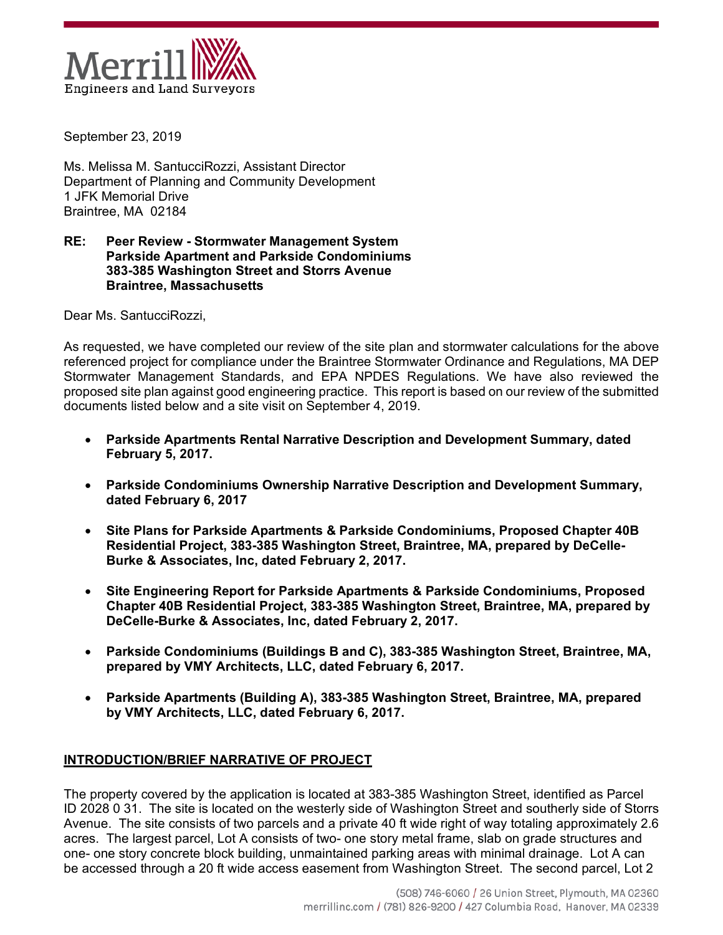

September 23, 2019

Ms. Melissa M. SantucciRozzi, Assistant Director Department of Planning and Community Development 1 JFK Memorial Drive Braintree, MA 02184

#### **RE: Peer Review - Stormwater Management System Parkside Apartment and Parkside Condominiums 383-385 Washington Street and Storrs Avenue Braintree, Massachusetts**

Dear Ms. SantucciRozzi,

As requested, we have completed our review of the site plan and stormwater calculations for the above referenced project for compliance under the Braintree Stormwater Ordinance and Regulations, MA DEP Stormwater Management Standards, and EPA NPDES Regulations. We have also reviewed the proposed site plan against good engineering practice. This report is based on our review of the submitted documents listed below and a site visit on September 4, 2019.

- **Parkside Apartments Rental Narrative Description and Development Summary, dated February 5, 2017.**
- **Parkside Condominiums Ownership Narrative Description and Development Summary, dated February 6, 2017**
- **Site Plans for Parkside Apartments & Parkside Condominiums, Proposed Chapter 40B Residential Project, 383-385 Washington Street, Braintree, MA, prepared by DeCelle-Burke & Associates, Inc, dated February 2, 2017.**
- **Site Engineering Report for Parkside Apartments & Parkside Condominiums, Proposed Chapter 40B Residential Project, 383-385 Washington Street, Braintree, MA, prepared by DeCelle-Burke & Associates, Inc, dated February 2, 2017.**
- **Parkside Condominiums (Buildings B and C), 383-385 Washington Street, Braintree, MA, prepared by VMY Architects, LLC, dated February 6, 2017.**
- **Parkside Apartments (Building A), 383-385 Washington Street, Braintree, MA, prepared by VMY Architects, LLC, dated February 6, 2017.**

# **INTRODUCTION/BRIEF NARRATIVE OF PROJECT**

The property covered by the application is located at 383-385 Washington Street, identified as Parcel ID 2028 0 31. The site is located on the westerly side of Washington Street and southerly side of Storrs Avenue. The site consists of two parcels and a private 40 ft wide right of way totaling approximately 2.6 acres. The largest parcel, Lot A consists of two- one story metal frame, slab on grade structures and one- one story concrete block building, unmaintained parking areas with minimal drainage. Lot A can be accessed through a 20 ft wide access easement from Washington Street. The second parcel, Lot 2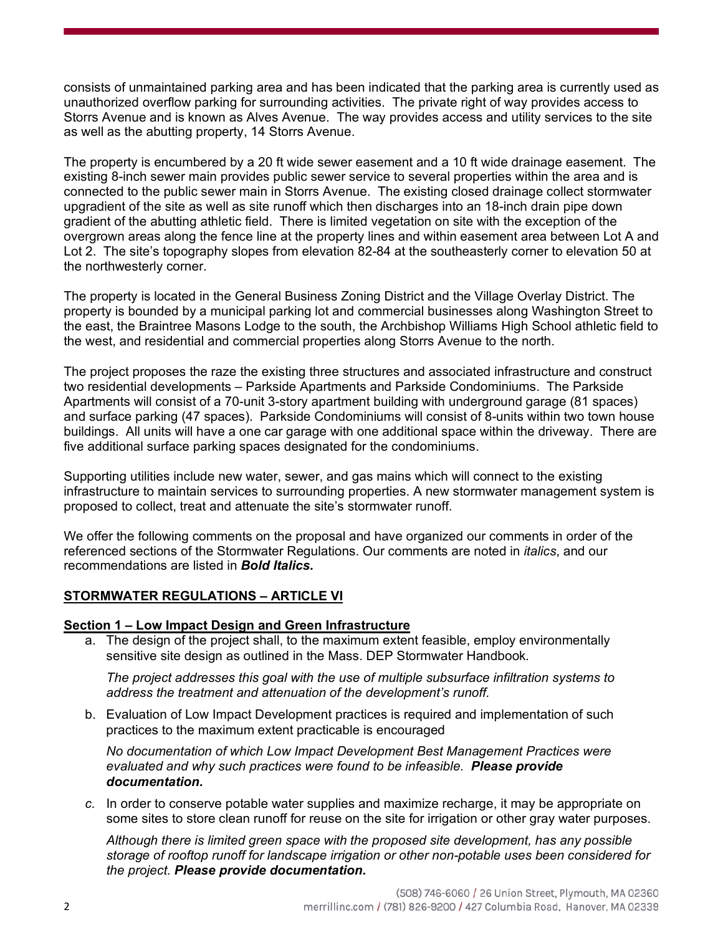consists of unmaintained parking area and has been indicated that the parking area is currently used as unauthorized overflow parking for surrounding activities. The private right of way provides access to Storrs Avenue and is known as Alves Avenue. The way provides access and utility services to the site as well as the abutting property, 14 Storrs Avenue.

The property is encumbered by a 20 ft wide sewer easement and a 10 ft wide drainage easement. The existing 8-inch sewer main provides public sewer service to several properties within the area and is connected to the public sewer main in Storrs Avenue. The existing closed drainage collect stormwater upgradient of the site as well as site runoff which then discharges into an 18-inch drain pipe down gradient of the abutting athletic field. There is limited vegetation on site with the exception of the overgrown areas along the fence line at the property lines and within easement area between Lot A and Lot 2. The site's topography slopes from elevation 82-84 at the southeasterly corner to elevation 50 at the northwesterly corner.

The property is located in the General Business Zoning District and the Village Overlay District. The property is bounded by a municipal parking lot and commercial businesses along Washington Street to the east, the Braintree Masons Lodge to the south, the Archbishop Williams High School athletic field to the west, and residential and commercial properties along Storrs Avenue to the north.

The project proposes the raze the existing three structures and associated infrastructure and construct two residential developments – Parkside Apartments and Parkside Condominiums. The Parkside Apartments will consist of a 70-unit 3-story apartment building with underground garage (81 spaces) and surface parking (47 spaces). Parkside Condominiums will consist of 8-units within two town house buildings. All units will have a one car garage with one additional space within the driveway. There are five additional surface parking spaces designated for the condominiums.

Supporting utilities include new water, sewer, and gas mains which will connect to the existing infrastructure to maintain services to surrounding properties. A new stormwater management system is proposed to collect, treat and attenuate the site's stormwater runoff.

We offer the following comments on the proposal and have organized our comments in order of the referenced sections of the Stormwater Regulations. Our comments are noted in *italics*, and our recommendations are listed in *Bold Italics.*

### **STORMWATER REGULATIONS – ARTICLE VI**

### **Section 1 – Low Impact Design and Green Infrastructure**

a. The design of the project shall, to the maximum extent feasible, employ environmentally sensitive site design as outlined in the Mass. DEP Stormwater Handbook*.*

*The project addresses this goal with the use of multiple subsurface infiltration systems to address the treatment and attenuation of the development's runoff.* 

b. Evaluation of Low Impact Development practices is required and implementation of such practices to the maximum extent practicable is encouraged

*No documentation of which Low Impact Development Best Management Practices were evaluated and why such practices were found to be infeasible. Please provide documentation.*

*c.* In order to conserve potable water supplies and maximize recharge, it may be appropriate on some sites to store clean runoff for reuse on the site for irrigation or other gray water purposes.

*Although there is limited green space with the proposed site development, has any possible storage of rooftop runoff for landscape irrigation or other non-potable uses been considered for the project. Please provide documentation.*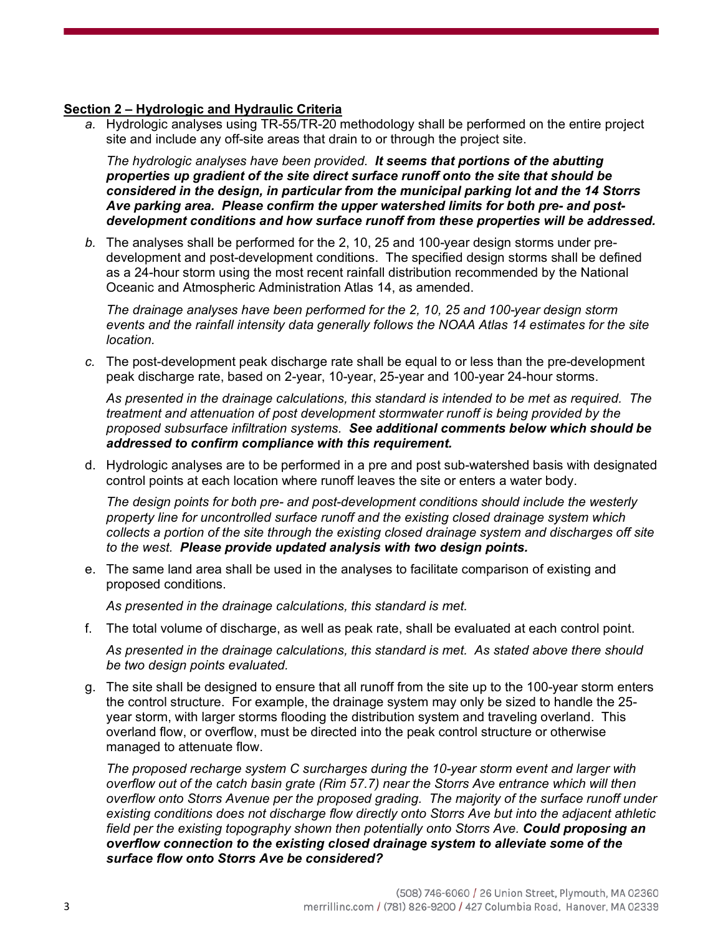### **Section 2 – Hydrologic and Hydraulic Criteria**

*a.* Hydrologic analyses using TR-55/TR-20 methodology shall be performed on the entire project site and include any off-site areas that drain to or through the project site.

*The hydrologic analyses have been provided. It seems that portions of the abutting properties up gradient of the site direct surface runoff onto the site that should be considered in the design, in particular from the municipal parking lot and the 14 Storrs Ave parking area. Please confirm the upper watershed limits for both pre- and postdevelopment conditions and how surface runoff from these properties will be addressed.*

*b.* The analyses shall be performed for the 2, 10, 25 and 100-year design storms under predevelopment and post-development conditions. The specified design storms shall be defined as a 24-hour storm using the most recent rainfall distribution recommended by the National Oceanic and Atmospheric Administration Atlas 14, as amended.

*The drainage analyses have been performed for the 2, 10, 25 and 100-year design storm events and the rainfall intensity data generally follows the NOAA Atlas 14 estimates for the site location.*

*c.* The post-development peak discharge rate shall be equal to or less than the pre-development peak discharge rate, based on 2-year, 10-year, 25-year and 100-year 24-hour storms.

*As presented in the drainage calculations, this standard is intended to be met as required. The treatment and attenuation of post development stormwater runoff is being provided by the proposed subsurface infiltration systems. See additional comments below which should be addressed to confirm compliance with this requirement.*

d. Hydrologic analyses are to be performed in a pre and post sub-watershed basis with designated control points at each location where runoff leaves the site or enters a water body.

*The design points for both pre- and post-development conditions should include the westerly property line for uncontrolled surface runoff and the existing closed drainage system which collects a portion of the site through the existing closed drainage system and discharges off site to the west. Please provide updated analysis with two design points.* 

e. The same land area shall be used in the analyses to facilitate comparison of existing and proposed conditions.

*As presented in the drainage calculations, this standard is met.*

f. The total volume of discharge, as well as peak rate, shall be evaluated at each control point.

*As presented in the drainage calculations, this standard is met. As stated above there should be two design points evaluated.*

g. The site shall be designed to ensure that all runoff from the site up to the 100-year storm enters the control structure. For example, the drainage system may only be sized to handle the 25 year storm, with larger storms flooding the distribution system and traveling overland. This overland flow, or overflow, must be directed into the peak control structure or otherwise managed to attenuate flow.

*The proposed recharge system C surcharges during the 10-year storm event and larger with overflow out of the catch basin grate (Rim 57.7) near the Storrs Ave entrance which will then overflow onto Storrs Avenue per the proposed grading. The majority of the surface runoff under existing conditions does not discharge flow directly onto Storrs Ave but into the adjacent athletic field per the existing topography shown then potentially onto Storrs Ave. Could proposing an overflow connection to the existing closed drainage system to alleviate some of the surface flow onto Storrs Ave be considered?*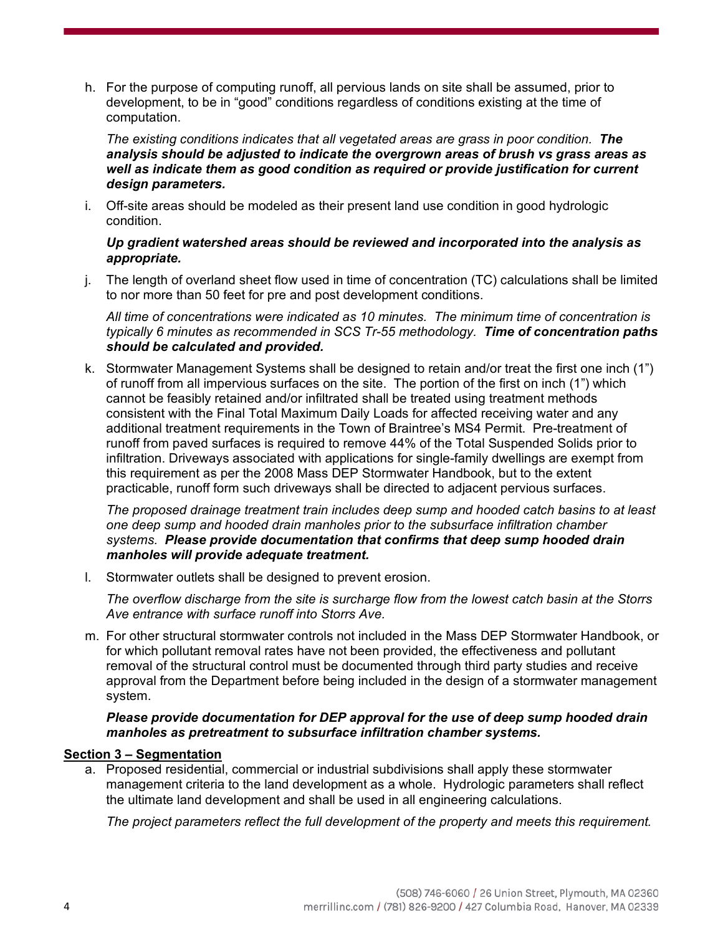h. For the purpose of computing runoff, all pervious lands on site shall be assumed, prior to development, to be in "good" conditions regardless of conditions existing at the time of computation.

*The existing conditions indicates that all vegetated areas are grass in poor condition. The analysis should be adjusted to indicate the overgrown areas of brush vs grass areas as well as indicate them as good condition as required or provide justification for current design parameters.*

i. Off-site areas should be modeled as their present land use condition in good hydrologic condition.

### *Up gradient watershed areas should be reviewed and incorporated into the analysis as appropriate.*

j. The length of overland sheet flow used in time of concentration (TC) calculations shall be limited to nor more than 50 feet for pre and post development conditions.

*All time of concentrations were indicated as 10 minutes. The minimum time of concentration is typically 6 minutes as recommended in SCS Tr-55 methodology. Time of concentration paths should be calculated and provided.* 

k. Stormwater Management Systems shall be designed to retain and/or treat the first one inch (1") of runoff from all impervious surfaces on the site. The portion of the first on inch (1") which cannot be feasibly retained and/or infiltrated shall be treated using treatment methods consistent with the Final Total Maximum Daily Loads for affected receiving water and any additional treatment requirements in the Town of Braintree's MS4 Permit. Pre-treatment of runoff from paved surfaces is required to remove 44% of the Total Suspended Solids prior to infiltration. Driveways associated with applications for single-family dwellings are exempt from this requirement as per the 2008 Mass DEP Stormwater Handbook, but to the extent practicable, runoff form such driveways shall be directed to adjacent pervious surfaces.

*The proposed drainage treatment train includes deep sump and hooded catch basins to at least one deep sump and hooded drain manholes prior to the subsurface infiltration chamber systems. Please provide documentation that confirms that deep sump hooded drain manholes will provide adequate treatment.* 

l. Stormwater outlets shall be designed to prevent erosion.

*The overflow discharge from the site is surcharge flow from the lowest catch basin at the Storrs Ave entrance with surface runoff into Storrs Ave.*

m. For other structural stormwater controls not included in the Mass DEP Stormwater Handbook, or for which pollutant removal rates have not been provided, the effectiveness and pollutant removal of the structural control must be documented through third party studies and receive approval from the Department before being included in the design of a stormwater management system.

### *Please provide documentation for DEP approval for the use of deep sump hooded drain manholes as pretreatment to subsurface infiltration chamber systems.*

## **Section 3 – Segmentation**

a. Proposed residential, commercial or industrial subdivisions shall apply these stormwater management criteria to the land development as a whole. Hydrologic parameters shall reflect the ultimate land development and shall be used in all engineering calculations.

*The project parameters reflect the full development of the property and meets this requirement.*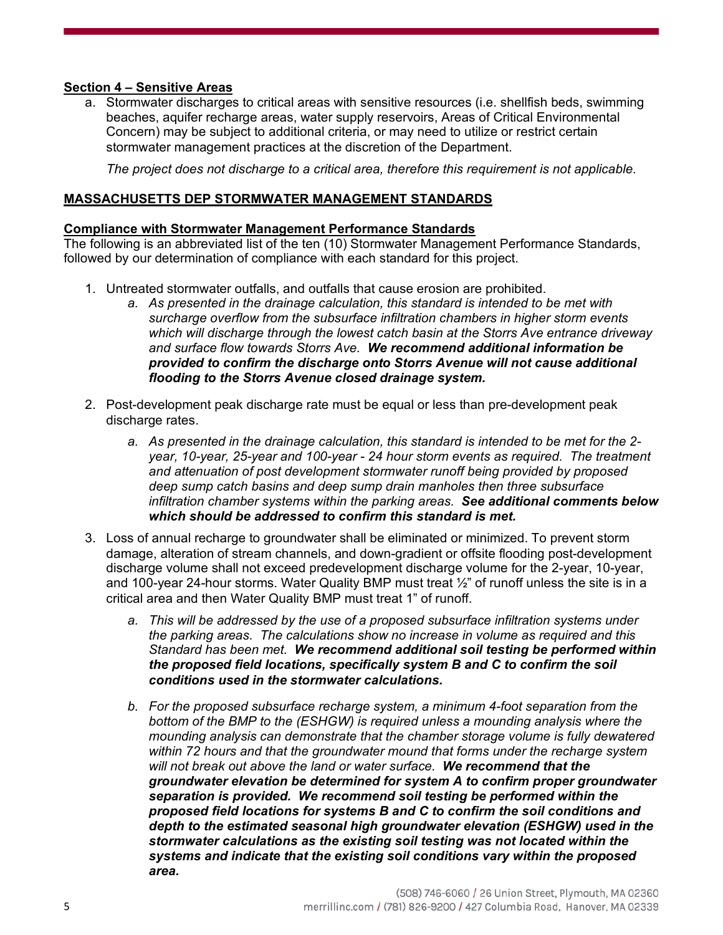## **Section 4 – Sensitive Areas**

a. Stormwater discharges to critical areas with sensitive resources (i.e. shellfish beds, swimming beaches, aquifer recharge areas, water supply reservoirs, Areas of Critical Environmental Concern) may be subject to additional criteria, or may need to utilize or restrict certain stormwater management practices at the discretion of the Department.

*The project does not discharge to a critical area, therefore this requirement is not applicable.*

### **MASSACHUSETTS DEP STORMWATER MANAGEMENT STANDARDS**

#### **Compliance with Stormwater Management Performance Standards**

The following is an abbreviated list of the ten (10) Stormwater Management Performance Standards, followed by our determination of compliance with each standard for this project.

- 1. Untreated stormwater outfalls, and outfalls that cause erosion are prohibited.
	- *a. As presented in the drainage calculation, this standard is intended to be met with surcharge overflow from the subsurface infiltration chambers in higher storm events which will discharge through the lowest catch basin at the Storrs Ave entrance driveway and surface flow towards Storrs Ave. We recommend additional information be provided to confirm the discharge onto Storrs Avenue will not cause additional flooding to the Storrs Avenue closed drainage system.*
- 2. Post-development peak discharge rate must be equal or less than pre-development peak discharge rates.
	- *a. As presented in the drainage calculation, this standard is intended to be met for the 2 year, 10-year, 25-year and 100-year - 24 hour storm events as required. The treatment and attenuation of post development stormwater runoff being provided by proposed deep sump catch basins and deep sump drain manholes then three subsurface infiltration chamber systems within the parking areas. See additional comments below which should be addressed to confirm this standard is met.*
- 3. Loss of annual recharge to groundwater shall be eliminated or minimized. To prevent storm damage, alteration of stream channels, and down-gradient or offsite flooding post-development discharge volume shall not exceed predevelopment discharge volume for the 2-year, 10-year, and 100-year 24-hour storms. Water Quality BMP must treat  $\frac{1}{2}$  of runoff unless the site is in a critical area and then Water Quality BMP must treat 1" of runoff.
	- *a. This will be addressed by the use of a proposed subsurface infiltration systems under the parking areas. The calculations show no increase in volume as required and this Standard has been met. We recommend additional soil testing be performed within the proposed field locations, specifically system B and C to confirm the soil conditions used in the stormwater calculations.*
	- *b. For the proposed subsurface recharge system, a minimum 4-foot separation from the bottom of the BMP to the (ESHGW) is required unless a mounding analysis where the mounding analysis can demonstrate that the chamber storage volume is fully dewatered within 72 hours and that the groundwater mound that forms under the recharge system will not break out above the land or water surface. We recommend that the groundwater elevation be determined for system A to confirm proper groundwater separation is provided. We recommend soil testing be performed within the proposed field locations for systems B and C to confirm the soil conditions and depth to the estimated seasonal high groundwater elevation (ESHGW) used in the stormwater calculations as the existing soil testing was not located within the systems and indicate that the existing soil conditions vary within the proposed area.*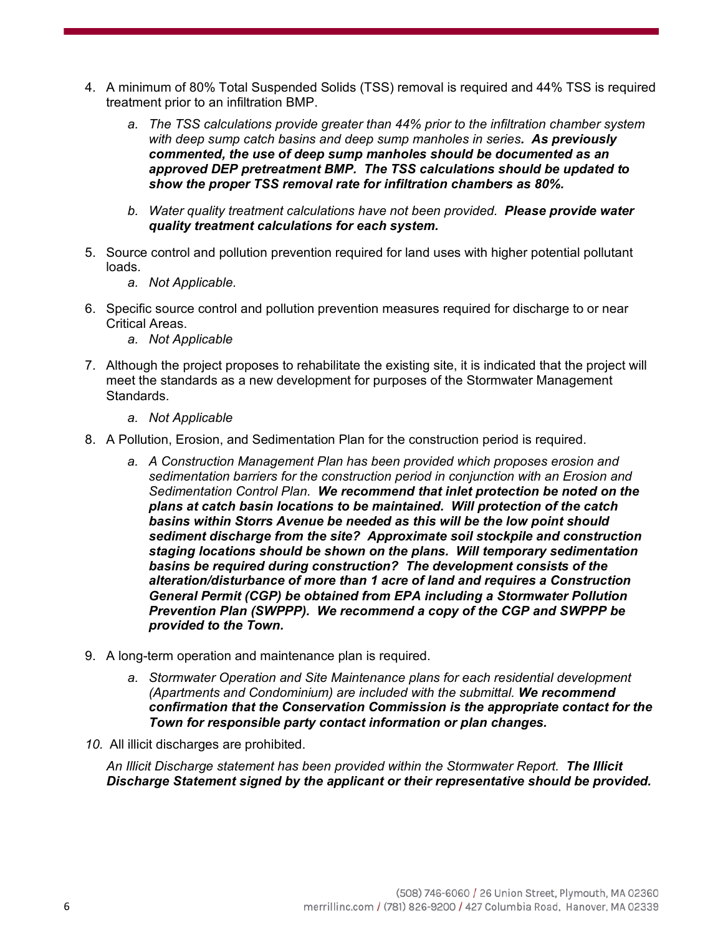- 4. A minimum of 80% Total Suspended Solids (TSS) removal is required and 44% TSS is required treatment prior to an infiltration BMP.
	- *a. The TSS calculations provide greater than 44% prior to the infiltration chamber system with deep sump catch basins and deep sump manholes in series. As previously commented, the use of deep sump manholes should be documented as an approved DEP pretreatment BMP. The TSS calculations should be updated to show the proper TSS removal rate for infiltration chambers as 80%.*
	- *b. Water quality treatment calculations have not been provided. Please provide water quality treatment calculations for each system.*
- 5. Source control and pollution prevention required for land uses with higher potential pollutant loads.
	- *a. Not Applicable.*
- 6. Specific source control and pollution prevention measures required for discharge to or near Critical Areas.
	- *a. Not Applicable*
- 7. Although the project proposes to rehabilitate the existing site, it is indicated that the project will meet the standards as a new development for purposes of the Stormwater Management Standards.
	- *a. Not Applicable*
- 8. A Pollution, Erosion, and Sedimentation Plan for the construction period is required.
	- *a. A Construction Management Plan has been provided which proposes erosion and sedimentation barriers for the construction period in conjunction with an Erosion and Sedimentation Control Plan. We recommend that inlet protection be noted on the plans at catch basin locations to be maintained. Will protection of the catch basins within Storrs Avenue be needed as this will be the low point should sediment discharge from the site? Approximate soil stockpile and construction staging locations should be shown on the plans. Will temporary sedimentation basins be required during construction? The development consists of the alteration/disturbance of more than 1 acre of land and requires a Construction General Permit (CGP) be obtained from EPA including a Stormwater Pollution Prevention Plan (SWPPP). We recommend a copy of the CGP and SWPPP be provided to the Town.*
- 9. A long-term operation and maintenance plan is required.
	- *a. Stormwater Operation and Site Maintenance plans for each residential development (Apartments and Condominium) are included with the submittal. We recommend confirmation that the Conservation Commission is the appropriate contact for the Town for responsible party contact information or plan changes.*
- *10.* All illicit discharges are prohibited.

*An Illicit Discharge statement has been provided within the Stormwater Report. The Illicit Discharge Statement signed by the applicant or their representative should be provided.*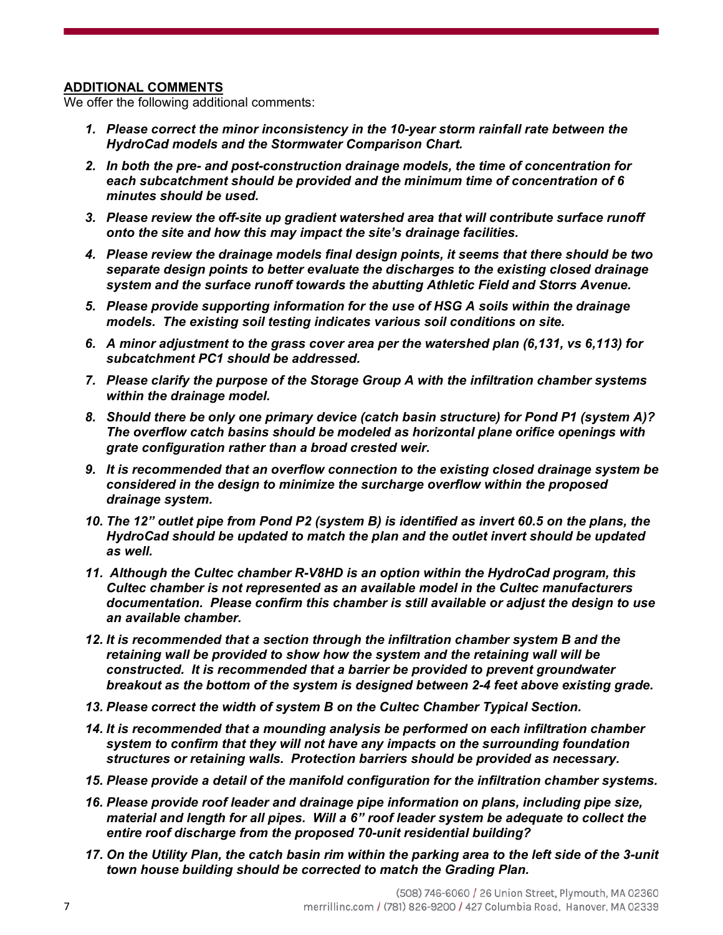# **ADDITIONAL COMMENTS**

We offer the following additional comments:

- *1. Please correct the minor inconsistency in the 10-year storm rainfall rate between the HydroCad models and the Stormwater Comparison Chart.*
- *2. In both the pre- and post-construction drainage models, the time of concentration for each subcatchment should be provided and the minimum time of concentration of 6 minutes should be used.*
- *3. Please review the off-site up gradient watershed area that will contribute surface runoff onto the site and how this may impact the site's drainage facilities.*
- *4. Please review the drainage models final design points, it seems that there should be two separate design points to better evaluate the discharges to the existing closed drainage system and the surface runoff towards the abutting Athletic Field and Storrs Avenue.*
- *5. Please provide supporting information for the use of HSG A soils within the drainage models. The existing soil testing indicates various soil conditions on site.*
- *6. A minor adjustment to the grass cover area per the watershed plan (6,131, vs 6,113) for subcatchment PC1 should be addressed.*
- *7. Please clarify the purpose of the Storage Group A with the infiltration chamber systems within the drainage model.*
- *8. Should there be only one primary device (catch basin structure) for Pond P1 (system A)? The overflow catch basins should be modeled as horizontal plane orifice openings with grate configuration rather than a broad crested weir.*
- *9. It is recommended that an overflow connection to the existing closed drainage system be considered in the design to minimize the surcharge overflow within the proposed drainage system.*
- *10. The 12" outlet pipe from Pond P2 (system B) is identified as invert 60.5 on the plans, the HydroCad should be updated to match the plan and the outlet invert should be updated as well.*
- *11. Although the Cultec chamber R-V8HD is an option within the HydroCad program, this Cultec chamber is not represented as an available model in the Cultec manufacturers documentation. Please confirm this chamber is still available or adjust the design to use an available chamber.*
- *12. It is recommended that a section through the infiltration chamber system B and the retaining wall be provided to show how the system and the retaining wall will be constructed. It is recommended that a barrier be provided to prevent groundwater breakout as the bottom of the system is designed between 2-4 feet above existing grade.*
- *13. Please correct the width of system B on the Cultec Chamber Typical Section.*
- *14. It is recommended that a mounding analysis be performed on each infiltration chamber system to confirm that they will not have any impacts on the surrounding foundation structures or retaining walls. Protection barriers should be provided as necessary.*
- *15. Please provide a detail of the manifold configuration for the infiltration chamber systems.*
- *16. Please provide roof leader and drainage pipe information on plans, including pipe size, material and length for all pipes. Will a 6" roof leader system be adequate to collect the entire roof discharge from the proposed 70-unit residential building?*
- *17. On the Utility Plan, the catch basin rim within the parking area to the left side of the 3-unit town house building should be corrected to match the Grading Plan.*